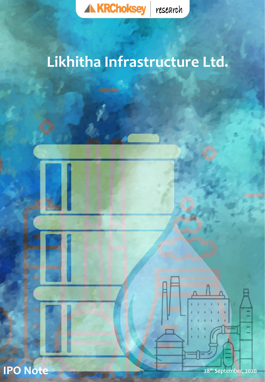

# **Likhitha Infrastructure Ltd.**

**KRChoksey Research**

Thomson Reuters, Factset and Capital IQ



**Phone:** +91-28<sup>th</sup> September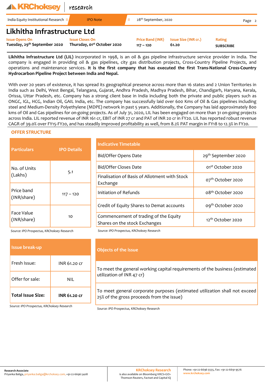| <b>ALKRChoksey</b>                                                | research                                                          |                                        |                               |                            |        |
|-------------------------------------------------------------------|-------------------------------------------------------------------|----------------------------------------|-------------------------------|----------------------------|--------|
| India Equity Institutional Research II                            | <b>IPO Note</b>                                                   | 28 <sup>th</sup> September, 2020       |                               |                            | Page 2 |
| Likhitha Infrastructure Ltd                                       |                                                                   |                                        |                               |                            |        |
| <b>Issue Opens On</b><br>Tuesday, 29 <sup>th</sup> September 2020 | <b>Issue Closes On</b><br>Thursday, 01 <sup>st</sup> October 2020 | <b>Price Band (INR)</b><br>$117 - 120$ | Issue Size (INR cr.)<br>61.20 | Rating<br><b>SUBSCRIBE</b> |        |

**Likhitha Infrastructure Ltd (LIL)** incorporated in 1998, is an oil & gas pipeline infrastructure service provider in India. The company is engaged in providing oil & gas pipelines, city gas distribution projects, Cross-Country Pipeline Projects, and operations and maintenance services. **It is the first company that has executed the first Trans-National Cross-Country Hydrocarbon Pipeline Project between India and Nepal.**

With over 20 years of existence, it has spread its geographical presence across more than 16 states and 2 Union Territories in India such as Delhi, West Bengal, Telangana, Gujarat, Andhra Pradesh, Madhya Pradesh, Bihar, Chandigarh, Haryana, Kerala, Orissa, Uttar Pradesh, etc. Company has a strong client base in India including both the private and public players such as ONGC, IGL, HCG, Indian Oil, GAIL India, etc. The company has successfully laid over 600 Kms of Oil & Gas pipelines including steel and Medium-Density Polyethylene (MDPE) network in past 5 years. Additionally, the Company has laid approximately 800 kms of Oil and Gas pipelines for on-going projects. As of July 31, 2020, LIL has been engaged on more than 31 on-going projects across India. LIL reported revenue of INR 161 cr, EBIT of INR 27 cr and PAT of INR 20 cr in FY20. LIL has reported robust revenue CAGR of 39.0% over FY15-FY20, and has steadily improved profitability as well, from 8.2% PAT margin in FY18 to 12.3% in FY20.

### **OFFER STRUCTURE**

| <b>Particulars</b>        | <b>IPO Details</b> | <b>Indicative Timetable</b>                                            |                                 |  |  |
|---------------------------|--------------------|------------------------------------------------------------------------|---------------------------------|--|--|
|                           |                    | Bid/Offer Opens Date                                                   | 29 <sup>th</sup> September 2020 |  |  |
| No. of Units              |                    | Bid/Offer Closes Date                                                  | 01 <sup>st</sup> October 2020   |  |  |
| 5.1<br>(Lakhs)            |                    | Finalisation of Basis of Allotment with Stock<br>Exchange              | 07 <sup>th</sup> October 2020   |  |  |
| Price band<br>(INR/share) | $117 - 120$        | Initiation of Refunds                                                  | 08 <sup>th</sup> October 2020   |  |  |
|                           |                    | Credit of Equity Shares to Demat accounts                              | 09 <sup>th</sup> October 2020   |  |  |
| Face Value<br>(INR/share) | 10                 | Commencement of trading of the Equity<br>Shares on the stock Exchanges | 12 <sup>th</sup> October 2020   |  |  |

| <b>Issue break-up</b>    |                     |
|--------------------------|---------------------|
| Fresh Issue:             | INR 61.20 Cr        |
| Offer for sale:          | NII                 |
| <b>Total Issue Size:</b> | <b>INR 61.20 cr</b> |

*Source: IPO Prospectus, KRChoksey Research Source: IPO Prospectus, KRChoksey Research*

|  | Objects of the issue                                                                                                    |
|--|-------------------------------------------------------------------------------------------------------------------------|
|  | To meet the general working capital requirements of the business (estimated<br>utilization of INR 47 cr)                |
|  | To meet general corporate purposes (estimated utilization shall not exceed<br>25% of the gross proceeds from the issue) |

*Source: IPO Prospectus, KRChoksey Research*

*Source: IPO Prospectus, KRChoksey Research*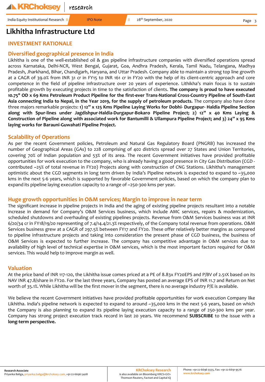India Equity Institutional Research II **IPO Note** II 28<sup>th</sup> September, 2020

# **Likhitha Infrastructure Ltd**

# **INVESTMENT RATIONALE**

### **Diversified geographical presence in India**

Likhitha is one of the well-established oil & gas pipeline infrastructure companies with diversified operations spread across Karnataka, Delhi-NCR, West Bengal, Gujarat, Goa, Andhra Pradesh, Kerala, Tamil Nadu, Telangana, Madhya Pradesh, Jharkhand, Bihar, Chandigarh, Haryana, and Uttar Pradesh. Company able to maintain a strong top line growth at a CAGR of 39.0% from INR 31 cr in FY15 to INR 161 cr in FY20 with the help of its client-centric approach and core competence in the field of pipeline infrastructure over 20 years of experience. Lithikha's main focus is to sustain profitable growth by executing projects in time to the satisfaction of clients. **The company is proud to have executed** 10.75" OD x 69 Kms Petroleum Product Pipeline for the first-ever Trans-National Cross-Country Pipeline of South-East **Asia connecting India to Nepal, in the Year 2019, for the supply of petroleum products.** The company also have done three majors remarkable projects: **1) 12" x 125 Kms Pipeline Laying Works for Dobhi- Durgapur- Haldia Pipeline Section along with Spur-lines under Jagdishpur-Haldia-Durgapur-Bokaro Pipeline Project; 2) 12" x 40 Kms Laying &** Construction of Pipeline along with associated work for Bantumilli & Ullampura Pipeline Project; and 3) 24" x 95 Kms **laying works for Barauni-Guwahati Pipeline Project.**

### **Scalability of Operations**

As per the recent Government policies, Petroleum and Natural Gas Regulatory Board (PNGRB) has increased the number of Geographical Areas (GAs) to 228 comprising of 402 districts spread over 27 States and Union Territories, covering 70% of Indian population and 53% of its area. The recent Government initiatives have provided profitable opportunities for work execution to the company, who is already having a good presence in City Gas Distribution (CGD contributed ~25% of total revenue in FY20) Projects along with construction of CNG Stations. Likhitha's management optimistic about the CGD segments in long term driven by India's Pipeline network is expected to expand to ~35,000 kms in the next 5-6 years, which is supported by favorable Government policies, based on which the company plan to expand its pipeline laying execution capacity to a range of ~250-300 kms per year.

### **Huge growth opportunities in O&M services; Margin to improve in near term**

The significant increase in pipeline projects in India and the aging of existing pipeline projects resultant into a notable increase in demand for Company's O&M Services business, which include AMC services, repairs & modernization, scheduled shutdowns and overhauling of existing pipelines projects. Revenue from O&M Services business was at INR 6/20/34 cr in FY18/19/20 representing of 7.4/14.4/21.3% respectively, of the Company total revenue from operations. O&M Services business grew at a CAGR of 297.5% between FY17 and FY20. These offer relatively better margins as compared to pipeline infrastructure projects and taking into consideration the present phase of CGD business, the business of O&M Services is expected to further increase. The company has competitive advantage in O&M services due to availability of high level of technical expertise in O&M services, which is the most important factors required for O&M services. This would help to improve margin as well.

### **Valuation**

At the price band of INR 117-120, the Likhitha issue comes priced at a PE of 8.83x FY20EPS and P/BV of 2.51X based on its NAV INR 47.8/share in FY20. For the last three years, Company has posted an average EPS of INR 11.7 and Return on Net worth of 35.1%. While Likhitha will be the first mover in the segment, there is no average industry P/E is available.

We believe the recent Government initiatives have provided profitable opportunities for work execution Company like Likhitha. India's pipeline network is expected to expand to around ~35,000 kms in the next 5-6 years, based on which the Company is also planning to expand its pipeline laying execution capacity to a range of 250-300 kms per year. Company has strong project execution track record in last 20 years. We recommend **SUBSCRIBE** to the issue with a **long-term perspective.**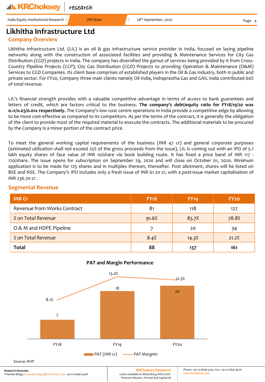#### **A KRChoksev** research

India Equity Institutional Research II **IDO** Note II 28<sup>th</sup> September, 2020

Page

# **Likhitha Infrastructure Ltd**

# **Company Overview**

Likhitha Infrastructure Ltd. (LIL) is an oil & gas infrastructure service provider in India, focused on laying pipeline networks along with the construction of associated facilities and providing & Maintenance Services for City Gas Distribution (CGD) projects in India. The company has diversified the gamut of services being provided by it from Cross-Country Pipeline Projects (CCP); City Gas Distribution (CGD) Projects to providing Operation & Maintenance (O&M) Services to CGD Companies. Its client base comprises of established players in the Oil & Gas industry, both in public and private sector. For FY20, Company three main clients namely Oil India, Indraprastha Gas and GAIL India contributed 60% of total revenue.

LIL's financial strength provides with a valuable competitive advantage in terms of access to bank guarantees and letters of credit, which are factors critical to the business. **The company's debt/equity ratio for FY18/19/20 was 0.11/o.03/0.01x respectively.** The Company's low-cost centre operations in India provide a competitive edge by allowing to be more cost-effective as compared to its competitors. As per the terms of the contract, it is generally the obligation of the client to provide most of the required material to execute the contracts. The additional materials to be procured by the Company is a minor portion of the contract price.

To meet the general working capital requirements of the business (INR 47 cr) and general corporate purposes (estimated utilization shall not exceed 25% of the gross proceeds from the issue), LIL is coming out with an IPO of 5.1 lakh equity shares of face value of INR 10/share via book building route. It has fixed a price band of INR 117 -120/share. The issue opens for subscription on September 29, 2020 and will close on October 01, 2020. Minimum application is to be made for 125 shares and in multiples thereon, thereafter. Post allotment, shares will be listed on BSE and NSE. The Company's IPO includes only a fresh issue of INR 61.20 cr, with a post-issue market capitalisation of INR 236.70 cr .

# **Segmental Revenue**

| <b>INR Cr</b>               | <b>FY18</b> | <b>FY19</b> | FY <sub>20</sub> |
|-----------------------------|-------------|-------------|------------------|
| Revenue from Works Contract | 81          | 118         | 127              |
| % on Total Revenue          | 91.6%       | 85.7%       | 78.8%            |
| O & M and HDPE Pipeline     |             | 20          | 34               |
| % on Total Revenue          | 8.4%        | 14.3%       | 21.2%            |
| Total                       | 88          | 137         | 161              |



### **PAT and Margin Performance**

**Research Associate** Priyanka Baliga, priyanka.baliga@krchoksey.com, +91-22-6696 5408

**KRChoksey Research** is also available on Bloomberg KRCS<GO> Thomson Reuters, Factset and Capital IQ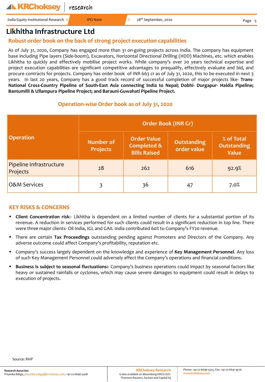# **Likhitha Infrastructure Ltd**

# **Robust order book on the back of strong project execution capabilities**

As of July 31, 2020, Company has engaged more than 31 on-going projects across India. The company has equipment base including Pipe layers (Side-boom), Excavators, Horizontal Directional Drilling (HDD) Machines, etc. which enables Likhitha to quickly and effectively mobilise project works. While company's over 20 years technical expertise and project execution capabilities are significant competitive advantages to prequalify, effectively evaluate and bid, and procure contracts for projects. Company has order book of INR 663 cr as of July 31, 2020, this to be executed in next 3 years. In last 20 years, Company has a good track record of successful completion of major projects like- **Trans-National Cross-Country Pipeline of South-East Asia connecting India to Nepal; Dobhi- Durgapur- Haldia Pipeline; Bantumilli & Ullampura Pipeline Project; and Barauni-Guwahati Pipeline Project.**

## **Operation-wise Order book as of July 31, 2020**

|                                     | <b>Order Book (INR Cr)</b>          |                                                                     |                            |                                           |  |  |
|-------------------------------------|-------------------------------------|---------------------------------------------------------------------|----------------------------|-------------------------------------------|--|--|
| <b>Operation</b>                    | <b>Number of</b><br><b>Projects</b> | <b>Order Value</b><br><b>Completed &amp;</b><br><b>Bills Raised</b> | Outstanding<br>order value | % of Total<br>Outstanding<br><b>Value</b> |  |  |
| Pipeline Infrastructure<br>Projects | 28                                  | 262                                                                 | 616                        | 92.9%                                     |  |  |
| <b>O&amp;M Services</b>             | 3                                   | 36                                                                  | 47                         | 7.0%                                      |  |  |

# **KEY RISKS & CONCERNS**

- **Client Concentration risk**:- Likhitha is dependent on a limited number of clients for a substantial portion of its revenue. A reduction in services performed for such clients could result in a significant reduction in top line. There were three major clients- Oil India, IGL and GAIL India contributed 60% to Company's FY20 revenue.
- There are certain **Tax Proceedings** outstanding pending against Promoters and Directors of the Company. Any adverse outcome could affect Company's profitability, reputation etc.
- Company's success largely dependent on the knowledge and experience of **Key Management Personnel**. Any loss of such Key Management Personnel could adversely affect the Company's operations and financial conditions.
- **Business is subject to seasonal fluctuations:-** Company's business operations could impact by seasonal factors like heavy or sustained rainfalls or cyclones, which may cause severe damages to equipment could result in delays to execution of projects.

Source: RHP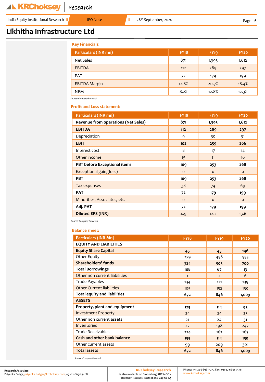India Equity Institutional Research II **IPO Note** II 28<sup>th</sup> September, 2020

# **Likhitha Infrastructure Ltd**

| <b>Key Financials:</b>      |             |             |                  |  |
|-----------------------------|-------------|-------------|------------------|--|
| <b>Particulars (INR mn)</b> | <b>FY18</b> | <b>FY19</b> | FY <sub>20</sub> |  |
| Net Sales                   | 871         | 1,395       | 1,612            |  |
| <b>EBITDA</b>               | 112         | 289         | 297              |  |
| PAT                         | 72          | 179         | 199              |  |
| <b>EBITDA Margin</b>        | 12.8%       | 20.7%       | 18.4%            |  |
| <b>NPM</b>                  | 8.2%        | 12.8%       | 12.3%            |  |

*Source: Company Research*

**Profit and Loss statement:**

| Particulars (INR mn)                | <b>FY18</b> | <b>FY19</b> | <b>FY20</b>  |
|-------------------------------------|-------------|-------------|--------------|
| Revenue from operations (Net Sales) | 871         | 1,395       | 1,612        |
| <b>EBITDA</b>                       | $112$       | 289         | 297          |
| Depreciation                        | 9           | 30          | 31           |
| <b>EBIT</b>                         | 102         | 259         | 266          |
| Interest cost                       | 8           | 17          | 14           |
| Other income                        | 15          | 11          | 16           |
| PBT before Exceptional items        | 109         | 253         | 268          |
| Exceptional gain/(loss)             | $\Omega$    | $\Omega$    | $\mathbf{o}$ |
| <b>PBT</b>                          | 109         | 253         | 268          |
| Tax expenses                        | 38          | 74          | 69           |
| <b>PAT</b>                          | 72          | 179         | 199          |
| Minorities, Associates, etc.        | $\Omega$    | $\Omega$    | $\mathbf{o}$ |
| Adj. PAT                            | 72          | 179         | 199          |
| <b>Diluted EPS (INR)</b>            | 4.9         | 12.2        | 13.6         |

*Source: Company Research*

#### **Balance sheet:**

| <b>Particulars (INR Mn)</b>         | <b>FY18</b>  | <b>FY19</b>    | <b>FY20</b> |
|-------------------------------------|--------------|----------------|-------------|
| <b>EQUITY AND LIABILITIES</b>       |              |                |             |
| <b>Equity Share Capital</b>         | 45           | 45             | 146         |
| Other Equity                        | 279          | 458            | 553         |
| <b>Shareholders' funds</b>          | 324          | 503            | 700         |
| <b>Total Borrowings</b>             | 108          | 67             | 13          |
| Other non current liabilities       | $\mathbf{1}$ | $\overline{2}$ | 6           |
| Trade Payables                      | 134          | 121            | 139         |
| <b>Other Current liabilities</b>    | 105          | 152            | 150         |
| <b>Total equity and liabilities</b> | 672          | 846            | 1,009       |
| <b>ASSETS</b>                       |              |                |             |
| Property, plant and equipment       | 123          | 114            | 93          |
| <b>Investment Property</b>          | 24           | 24             | 23          |
| Other non current assets            | 21           | 24             | 31          |
| Inventories                         | 27           | 198            | 247         |
| <b>Trade Receivables</b>            | 224          | 162            | 163         |
| <b>Cash and other bank balance</b>  | 155          | 114            | 150         |
| Other current assets                | 99           | 209            | 301         |
| <b>Total assets</b>                 | 672          | 846            | 1,009       |

*Source: Company Research*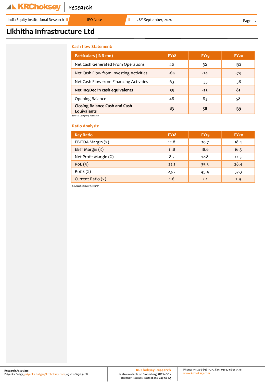India Equity Institutional Research II **IPO Note** II 28<sup>th</sup> September, 2020

# **Likhitha Infrastructure Ltd**

#### **Cash flow Statement:**

| <b>Particulars (INR mn)</b>                                | <b>FY<sub>18</sub></b> | <b>FY19</b> | FY20  |
|------------------------------------------------------------|------------------------|-------------|-------|
| Net Cash Generated From Operations                         | 40                     | 32          | 192   |
| Net Cash Flow from Investing Activities                    | $-69$                  | $-24$       | $-73$ |
| Net Cash Flow from Financing Activities                    | 63                     | $-33$       | -38   |
| Net Inc/Dec in cash equivalents                            | 35                     | $-25$       | 81    |
| <b>Opening Balance</b>                                     | 48                     | 83          | 58    |
| <b>Closing Balance Cash and Cash</b><br><b>Equivalents</b> | 83                     | 58          | 139   |
| Source: Company Research                                   |                        |             |       |

#### **Ratio Analysis:**

| <b>Key Ratio</b>      | <b>FY18</b> | <b>FY19</b> | FY <sub>20</sub> |
|-----------------------|-------------|-------------|------------------|
| EBITDA Margin (%)     | 12.8        | 20.7        | 18.4             |
| EBIT Margin (%)       | 11.8        | 18.6        | 16.5             |
| Net Profit Margin (%) | 8.2         | 12.8        | 12.3             |
| RoE(%)                | 22.1        | 35.5        | 28.4             |
| RoCE(%)               | 23.7        | 45.4        | 37.3             |
| Current Ratio $(x)$   | 1.6         | 2.1         | 2.9              |

*Source: Company Research*